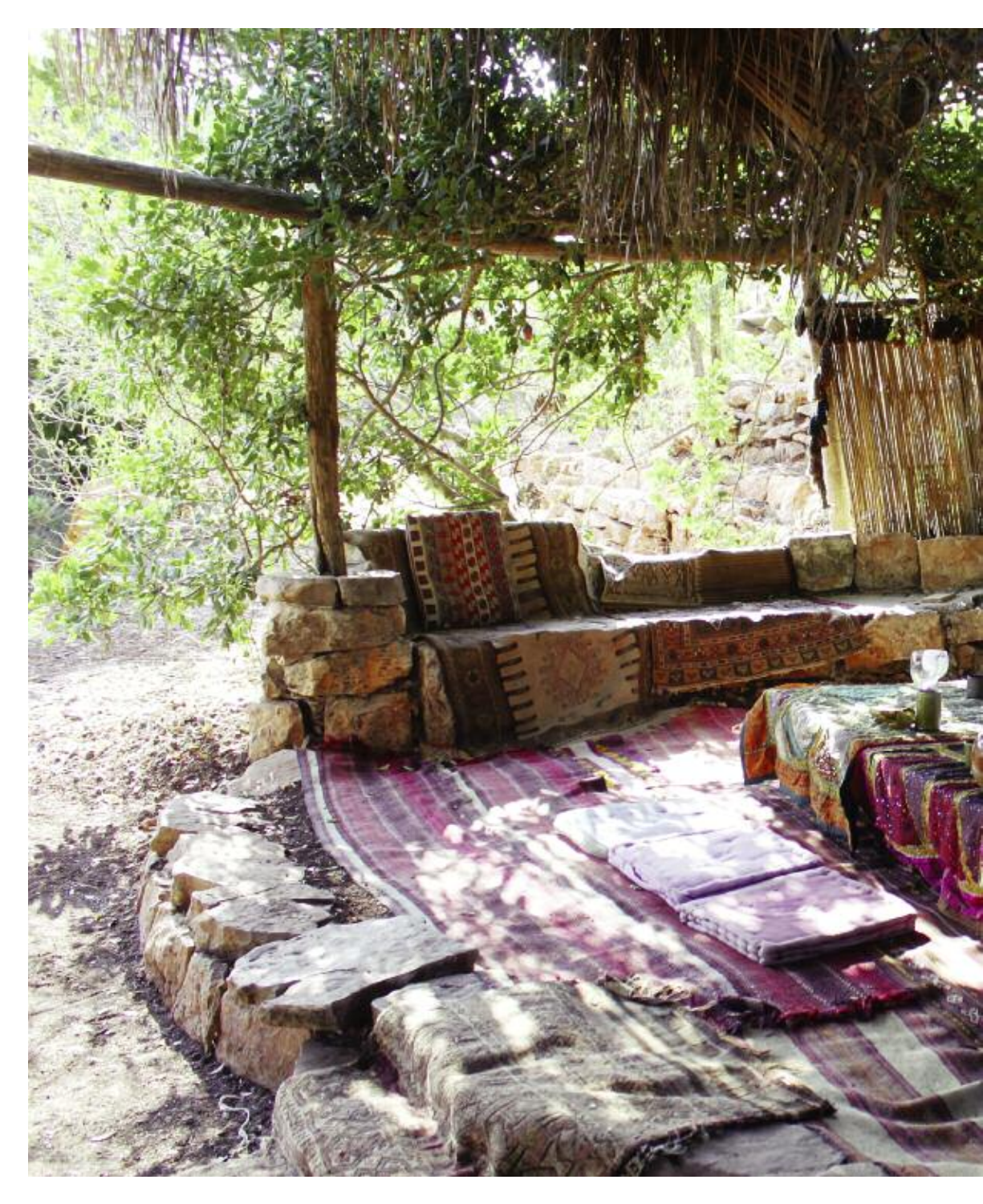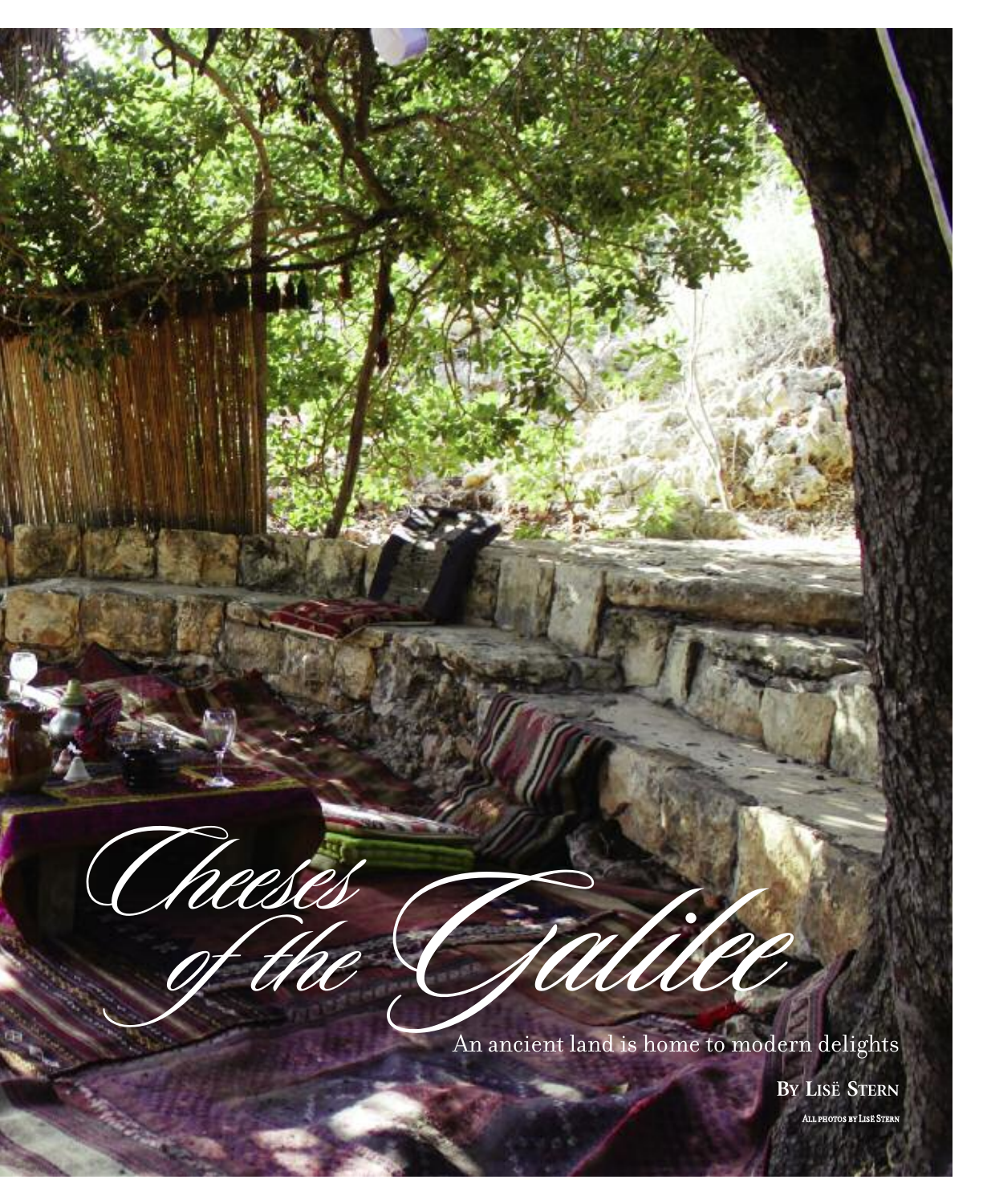

An ancient land is home to modern delights

**BY LISË STERN** All photos by Lisë Stern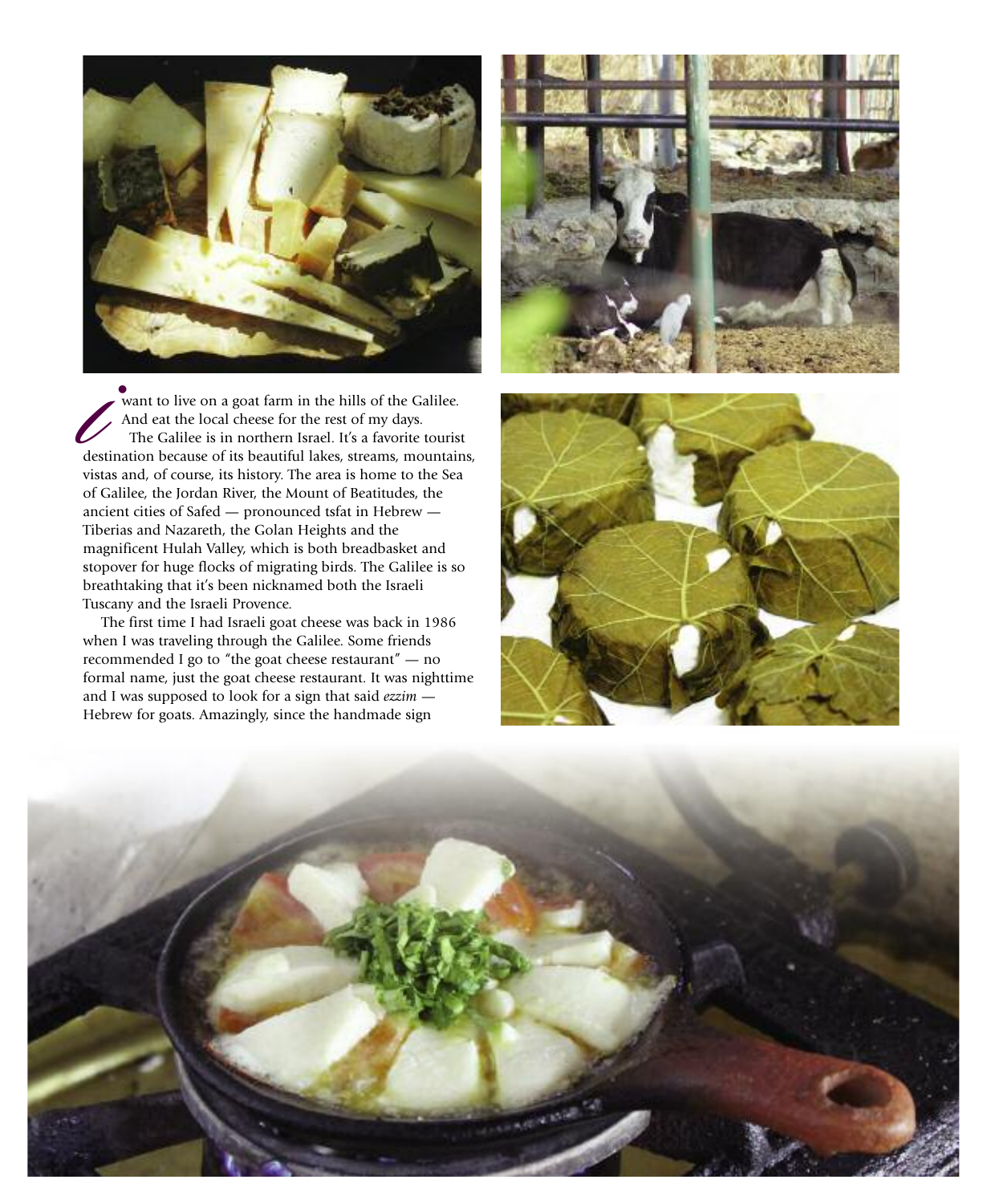



The first time I had Israeli goat cheese was back in 1986 when I was traveling through the Galilee. Some friends recommended I go to "the goat cheese restaurant" — no formal name, just the goat cheese restaurant. It was nighttime and I was supposed to look for a sign that said *ezzim* — Hebrew for goats. Amazingly, since the handmade sign





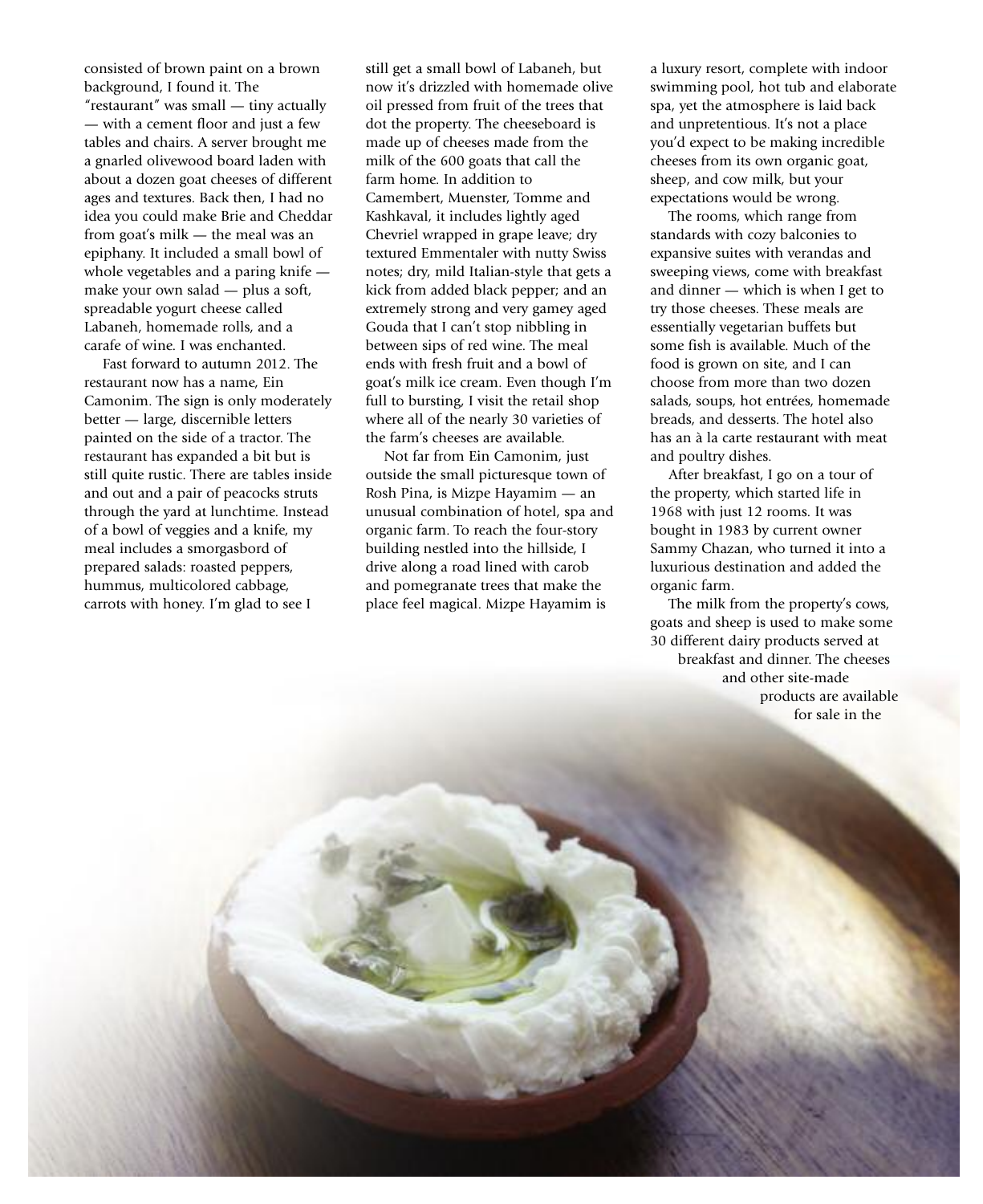consisted of brown paint on a brown background, I found it. The "restaurant" was small — tiny actually — with a cement floor and just a few tables and chairs. A server brought me a gnarled olivewood board laden with about a dozen goat cheeses of different ages and textures. Back then, I had no idea you could make Brie and Cheddar from goat's milk — the meal was an epiphany. It included a small bowl of whole vegetables and a paring knife make your own salad — plus a soft, spreadable yogurt cheese called Labaneh, homemade rolls, and a carafe of wine. I was enchanted.

Fast forward to autumn 2012. The restaurant now has a name, Ein Camonim. The sign is only moderately better — large, discernible letters painted on the side of a tractor. The restaurant has expanded a bit but is still quite rustic. There are tables inside and out and a pair of peacocks struts through the yard at lunchtime. Instead of a bowl of veggies and a knife, my meal includes a smorgasbord of prepared salads: roasted peppers, hummus, multicolored cabbage, carrots with honey. I'm glad to see I

still get a small bowl of Labaneh, but now it's drizzled with homemade olive oil pressed from fruit of the trees that dot the property. The cheeseboard is made up of cheeses made from the milk of the 600 goats that call the farm home. In addition to Camembert, Muenster, Tomme and Kashkaval, it includes lightly aged Chevriel wrapped in grape leave; dry textured Emmentaler with nutty Swiss notes; dry, mild Italian-style that gets a kick from added black pepper; and an extremely strong and very gamey aged Gouda that I can't stop nibbling in between sips of red wine. The meal ends with fresh fruit and a bowl of goat's milk ice cream. Even though I'm full to bursting, I visit the retail shop where all of the nearly 30 varieties of the farm's cheeses are available.

Not far from Ein Camonim, just outside the small picturesque town of Rosh Pina, is Mizpe Hayamim — an unusual combination of hotel, spa and organic farm. To reach the four-story building nestled into the hillside, I drive along a road lined with carob and pomegranate trees that make the place feel magical. Mizpe Hayamim is

a luxury resort, complete with indoor swimming pool, hot tub and elaborate spa, yet the atmosphere is laid back and unpretentious. It's not a place you'd expect to be making incredible cheeses from its own organic goat, sheep, and cow milk, but your expectations would be wrong.

The rooms, which range from standards with cozy balconies to expansive suites with verandas and sweeping views, come with breakfast and dinner — which is when I get to try those cheeses. These meals are essentially vegetarian buffets but some fish is available. Much of the food is grown on site, and I can choose from more than two dozen salads, soups, hot entrées, homemade breads, and desserts. The hotel also has an à la carte restaurant with meat and poultry dishes.

After breakfast, I go on a tour of the property, which started life in 1968 with just 12 rooms. It was bought in 1983 by current owner Sammy Chazan, who turned it into a luxurious destination and added the organic farm.

The milk from the property's cows, goats and sheep is used to make some 30 different dairy products served at breakfast and dinner. The cheeses and other site-made products are available for sale in the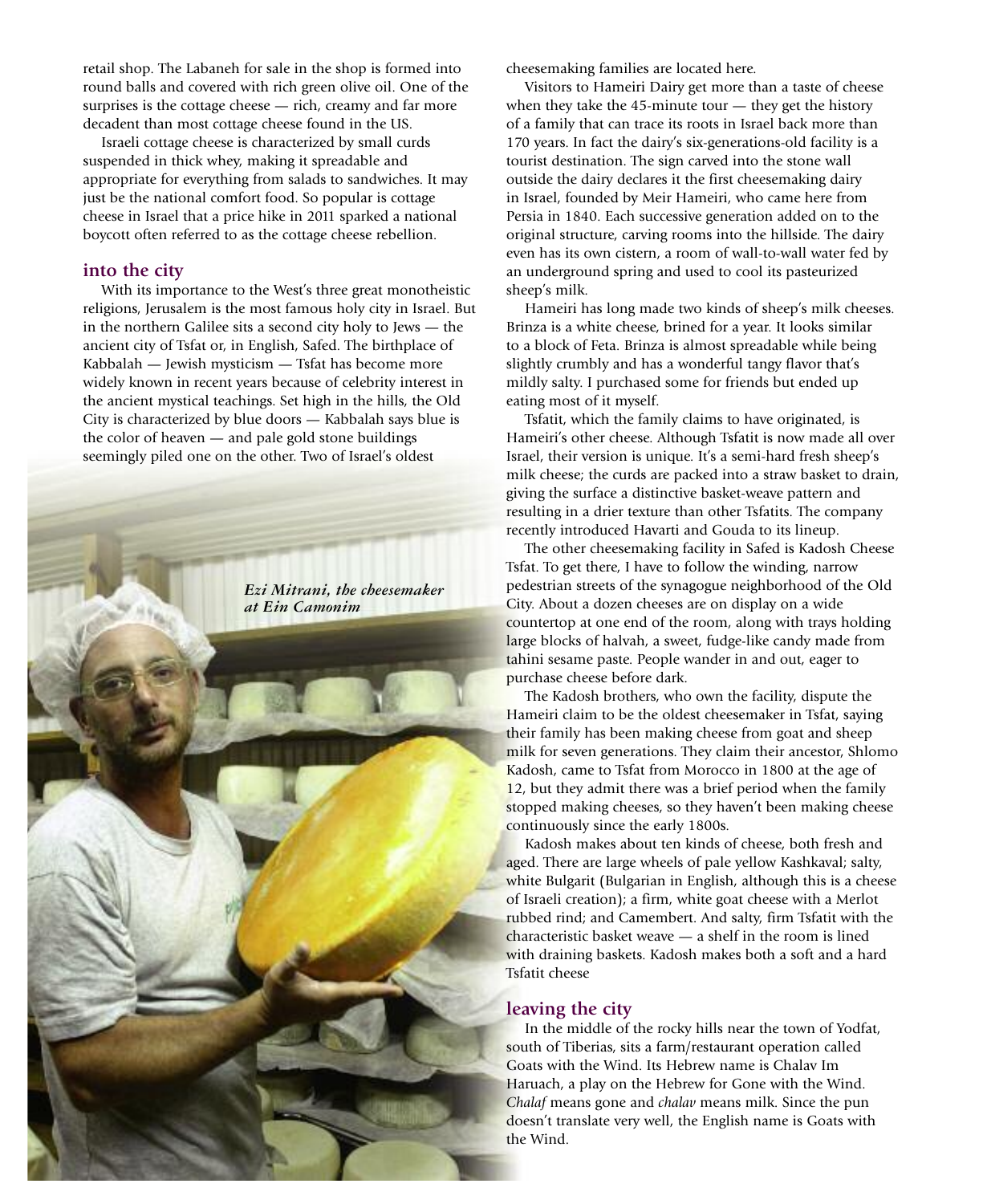retail shop. The Labaneh for sale in the shop is formed into round balls and covered with rich green olive oil. One of the surprises is the cottage cheese — rich, creamy and far more decadent than most cottage cheese found in the US.

Israeli cottage cheese is characterized by small curds suspended in thick whey, making it spreadable and appropriate for everything from salads to sandwiches. It may just be the national comfort food. So popular is cottage cheese in Israel that a price hike in 2011 sparked a national boycott often referred to as the cottage cheese rebellion.

## **into the city**

With its importance to the West's three great monotheistic religions, Jerusalem is the most famous holy city in Israel. But in the northern Galilee sits a second city holy to Jews — the ancient city of Tsfat or, in English, Safed. The birthplace of Kabbalah — Jewish mysticism — Tsfat has become more widely known in recent years because of celebrity interest in the ancient mystical teachings. Set high in the hills, the Old City is characterized by blue doors — Kabbalah says blue is the color of heaven — and pale gold stone buildings seemingly piled one on the other. Two of Israel's oldest



cheesemaking families are located here.

Visitors to Hameiri Dairy get more than a taste of cheese when they take the 45-minute tour  $-$  they get the history of a family that can trace its roots in Israel back more than 170 years. In fact the dairy's six-generations-old facility is a tourist destination. The sign carved into the stone wall outside the dairy declares it the first cheesemaking dairy in Israel, founded by Meir Hameiri, who came here from Persia in 1840. Each successive generation added on to the original structure, carving rooms into the hillside. The dairy even has its own cistern, a room of wall-to-wall water fed by an underground spring and used to cool its pasteurized sheep's milk.

Hameiri has long made two kinds of sheep's milk cheeses. Brinza is a white cheese, brined for a year. It looks similar to a block of Feta. Brinza is almost spreadable while being slightly crumbly and has a wonderful tangy flavor that's mildly salty. I purchased some for friends but ended up eating most of it myself.

Tsfatit, which the family claims to have originated, is Hameiri's other cheese. Although Tsfatit is now made all over Israel, their version is unique. It's a semi-hard fresh sheep's milk cheese; the curds are packed into a straw basket to drain, giving the surface a distinctive basket-weave pattern and resulting in a drier texture than other Tsfatits. The company recently introduced Havarti and Gouda to its lineup.

The other cheesemaking facility in Safed is Kadosh Cheese Tsfat. To get there, I have to follow the winding, narrow pedestrian streets of the synagogue neighborhood of the Old City. About a dozen cheeses are on display on a wide countertop at one end of the room, along with trays holding large blocks of halvah, a sweet, fudge-like candy made from tahini sesame paste. People wander in and out, eager to purchase cheese before dark.

The Kadosh brothers, who own the facility, dispute the Hameiri claim to be the oldest cheesemaker in Tsfat, saying their family has been making cheese from goat and sheep milk for seven generations. They claim their ancestor, Shlomo Kadosh, came to Tsfat from Morocco in 1800 at the age of 12, but they admit there was a brief period when the family stopped making cheeses, so they haven't been making cheese continuously since the early 1800s.

Kadosh makes about ten kinds of cheese, both fresh and aged. There are large wheels of pale yellow Kashkaval; salty, white Bulgarit (Bulgarian in English, although this is a cheese of Israeli creation); a firm, white goat cheese with a Merlot rubbed rind; and Camembert. And salty, firm Tsfatit with the characteristic basket weave — a shelf in the room is lined with draining baskets. Kadosh makes both a soft and a hard Tsfatit cheese

## **leaving the city**

In the middle of the rocky hills near the town of Yodfat, south of Tiberias, sits a farm/restaurant operation called Goats with the Wind. Its Hebrew name is Chalav Im Haruach, a play on the Hebrew for Gone with the Wind. *Chalaf* means gone and *chalav* means milk. Since the pun doesn't translate very well, the English name is Goats with the Wind.